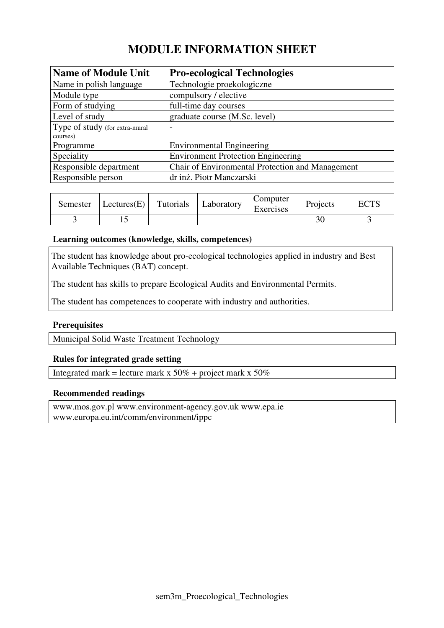# **MODULE INFORMATION SHEET**

| <b>Name of Module Unit</b>     | <b>Pro-ecological Technologies</b>               |
|--------------------------------|--------------------------------------------------|
| Name in polish language        | Technologie proekologiczne                       |
| Module type                    | compulsory / elective                            |
| Form of studying               | full-time day courses                            |
| Level of study                 | graduate course (M.Sc. level)                    |
| Type of study (for extra-mural | $\overline{\phantom{0}}$                         |
| courses)                       |                                                  |
| Programme                      | <b>Environmental Engineering</b>                 |
| Speciality                     | <b>Environment Protection Engineering</b>        |
| Responsible department         | Chair of Environmental Protection and Management |
| Responsible person             | dr inż. Piotr Manczarski                         |

| Semester | Lectures(E) | Tutorials | Laboratory | Computer<br>Exercises | Projects | TCTC<br>ヒヒエン |
|----------|-------------|-----------|------------|-----------------------|----------|--------------|
|          |             |           |            |                       |          |              |

### **Learning outcomes (knowledge, skills, competences)**

The student has knowledge about pro-ecological technologies applied in industry and Best Available Techniques (BAT) concept.

The student has skills to prepare Ecological Audits and Environmental Permits.

The student has competences to cooperate with industry and authorities.

## **Prerequisites**

Municipal Solid Waste Treatment Technology

### **Rules for integrated grade setting**

Integrated mark = lecture mark x  $50\%$  + project mark x  $50\%$ 

#### **Recommended readings**

www.mos.gov.pl www.environment-agency.gov.uk www.epa.ie www.europa.eu.int/comm/environment/ippc